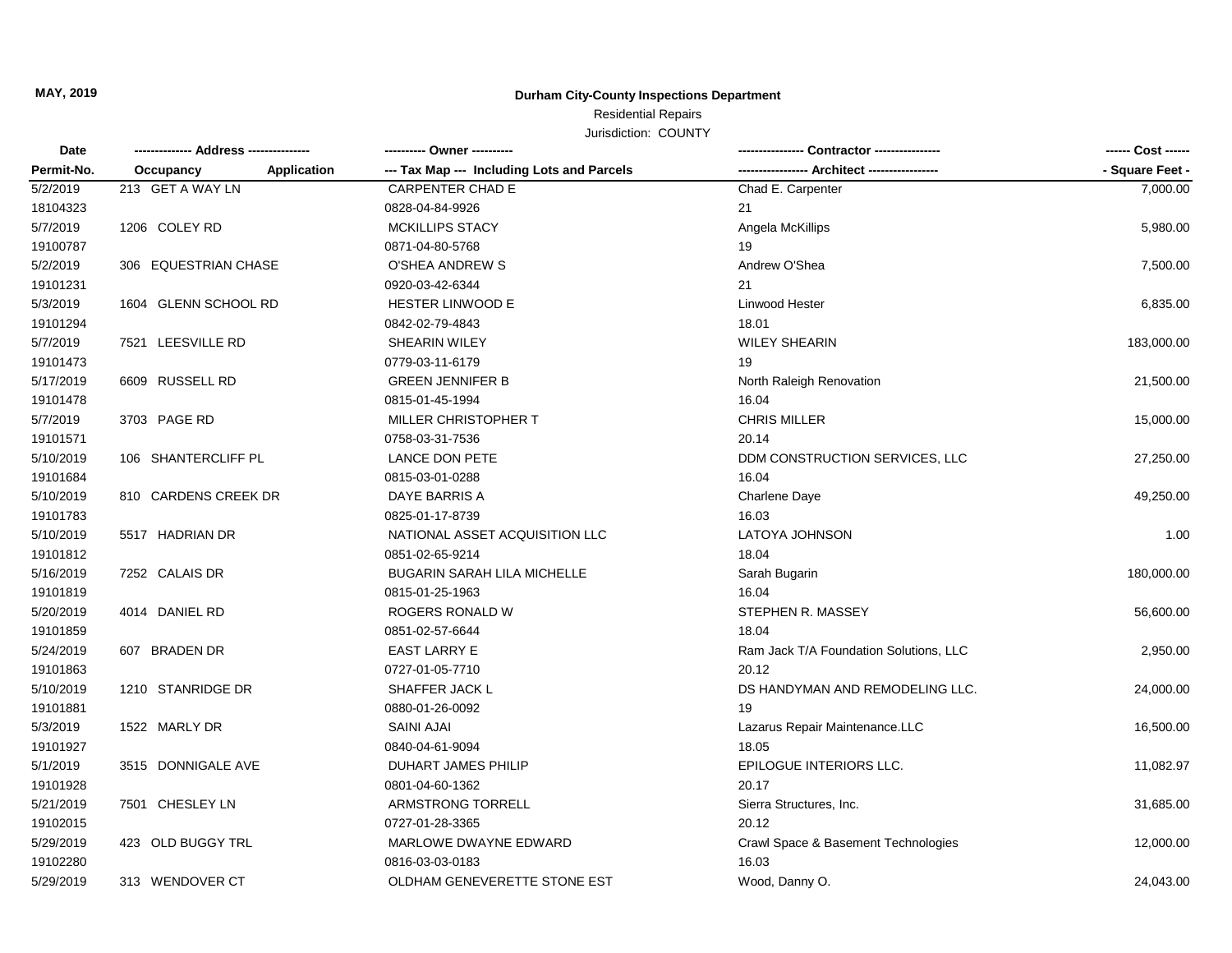## **MAY, 2019 Durham City-County Inspections Department**

# Residential Repairs

Jurisdiction: COUNTY

| Date<br>Permit-No. |                          | ---------- Owner ----------                |                                        | ------ Cost ------ |
|--------------------|--------------------------|--------------------------------------------|----------------------------------------|--------------------|
|                    | Application<br>Occupancy | --- Tax Map --- Including Lots and Parcels | --- Architect ------------             | - Square Feet -    |
| 5/2/2019           | 213 GET A WAY LN         | <b>CARPENTER CHAD E</b>                    | Chad E. Carpenter                      | 7,000.00           |
| 18104323           |                          | 0828-04-84-9926                            | 21                                     |                    |
| 5/7/2019           | 1206 COLEY RD            | MCKILLIPS STACY                            | Angela McKillips                       | 5,980.00           |
| 19100787           |                          | 0871-04-80-5768                            | 19                                     |                    |
| 5/2/2019           | 306 EQUESTRIAN CHASE     | O'SHEA ANDREW S                            | Andrew O'Shea                          | 7,500.00           |
| 19101231           |                          | 0920-03-42-6344                            | 21                                     |                    |
| 5/3/2019           | 1604 GLENN SCHOOL RD     | HESTER LINWOOD E                           | Linwood Hester                         | 6,835.00           |
| 19101294           |                          | 0842-02-79-4843                            | 18.01                                  |                    |
| 5/7/2019           | 7521 LEESVILLE RD        | SHEARIN WILEY                              | <b>WILEY SHEARIN</b>                   | 183,000.00         |
| 19101473           |                          | 0779-03-11-6179                            | 19                                     |                    |
| 5/17/2019          | 6609 RUSSELL RD          | <b>GREEN JENNIFER B</b>                    | North Raleigh Renovation               | 21,500.00          |
| 19101478           |                          | 0815-01-45-1994                            | 16.04                                  |                    |
| 5/7/2019           | 3703 PAGE RD             | MILLER CHRISTOPHER T                       | <b>CHRIS MILLER</b>                    | 15,000.00          |
| 19101571           |                          | 0758-03-31-7536                            | 20.14                                  |                    |
| 5/10/2019          | 106 SHANTERCLIFF PL      | <b>LANCE DON PETE</b>                      | DDM CONSTRUCTION SERVICES, LLC         | 27,250.00          |
| 19101684           |                          | 0815-03-01-0288                            | 16.04                                  |                    |
| 5/10/2019          | 810 CARDENS CREEK DR     | DAYE BARRIS A                              | Charlene Daye                          | 49,250.00          |
| 19101783           |                          | 0825-01-17-8739                            | 16.03                                  |                    |
| 5/10/2019          | 5517 HADRIAN DR          | NATIONAL ASSET ACQUISITION LLC             | LATOYA JOHNSON                         | 1.00               |
| 19101812           |                          | 0851-02-65-9214                            | 18.04                                  |                    |
| 5/16/2019          | 7252 CALAIS DR           | <b>BUGARIN SARAH LILA MICHELLE</b>         | Sarah Bugarin                          | 180,000.00         |
| 19101819           |                          | 0815-01-25-1963                            | 16.04                                  |                    |
| 5/20/2019          | 4014 DANIEL RD           | ROGERS RONALD W                            | STEPHEN R. MASSEY                      | 56,600.00          |
| 19101859           |                          | 0851-02-57-6644                            | 18.04                                  |                    |
| 5/24/2019          | 607 BRADEN DR            | <b>EAST LARRY E</b>                        | Ram Jack T/A Foundation Solutions, LLC | 2,950.00           |
| 19101863           |                          | 0727-01-05-7710                            | 20.12                                  |                    |
| 5/10/2019          | 1210 STANRIDGE DR        | SHAFFER JACK L                             | DS HANDYMAN AND REMODELING LLC.        | 24,000.00          |
| 19101881           |                          | 0880-01-26-0092                            | 19                                     |                    |
| 5/3/2019           | 1522 MARLY DR            | <b>SAINI AJAI</b>                          | Lazarus Repair Maintenance.LLC         | 16,500.00          |
| 19101927           |                          | 0840-04-61-9094                            | 18.05                                  |                    |
| 5/1/2019           | 3515 DONNIGALE AVE       | <b>DUHART JAMES PHILIP</b>                 | EPILOGUE INTERIORS LLC.                | 11,082.97          |
| 19101928           |                          | 0801-04-60-1362                            | 20.17                                  |                    |
| 5/21/2019          | 7501 CHESLEY LN          | ARMSTRONG TORRELL                          | Sierra Structures, Inc.                | 31,685.00          |
| 19102015           |                          | 0727-01-28-3365                            | 20.12                                  |                    |
| 5/29/2019          | 423 OLD BUGGY TRL        | MARLOWE DWAYNE EDWARD                      | Crawl Space & Basement Technologies    | 12,000.00          |
| 19102280           |                          | 0816-03-03-0183                            | 16.03                                  |                    |
| 5/29/2019          | 313 WENDOVER CT          | OLDHAM GENEVERETTE STONE EST               | Wood, Danny O.                         | 24,043.00          |